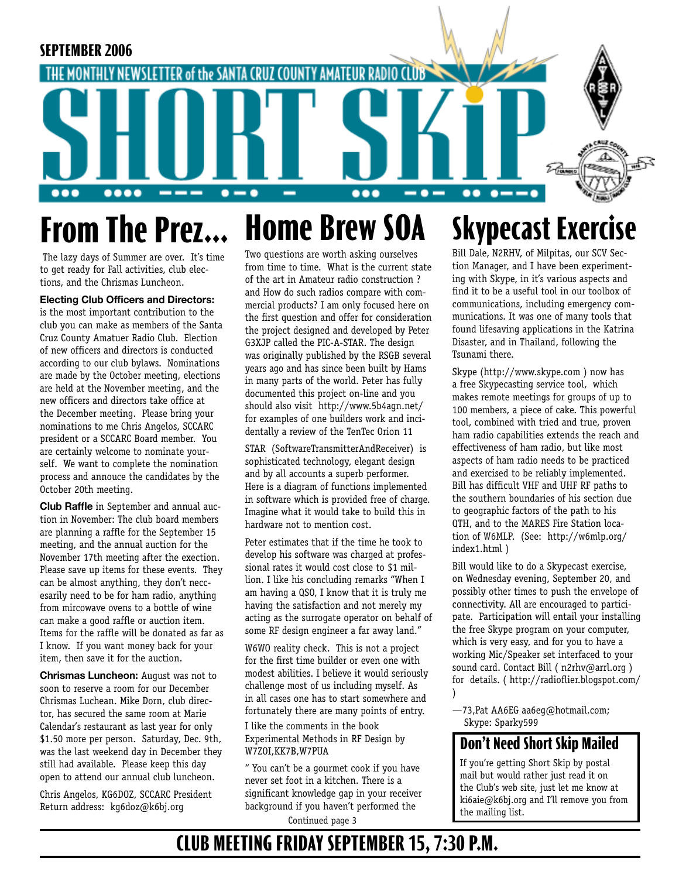

# **From The Prez... Home Brew SOA**

 The lazy days of Summer are over. It's time to get ready for Fall activities, club elections, and the Chrismas Luncheon.

#### **Electing Club Officers and Directors:**

is the most important contribution to the club you can make as members of the Santa Cruz County Amatuer Radio Club. Election of new officers and directors is conducted according to our club bylaws. Nominations are made by the October meeting, elections are held at the November meeting, and the new officers and directors take office at the December meeting. Please bring your nominations to me Chris Angelos, SCCARC president or a SCCARC Board member. You are certainly welcome to nominate yourself. We want to complete the nomination process and annouce the candidates by the October 20th meeting.

**Club Raffle** in September and annual auction in November: The club board members are planning a raffle for the September 15 meeting, and the annual auction for the November 17th meeting after the exection. Please save up items for these events. They can be almost anything, they don't neccesarily need to be for ham radio, anything from mircowave ovens to a bottle of wine can make a good raffle or auction item. Items for the raffle will be donated as far as I know. If you want money back for your item, then save it for the auction.

**Chrismas Luncheon:** August was not to soon to reserve a room for our December Chrismas Luchean. Mike Dorn, club director, has secured the same room at Marie Calendar's restaurant as last year for only \$1.50 more per person. Saturday, Dec. 9th, was the last weekend day in December they still had available. Please keep this day open to attend our annual club luncheon.

Chris Angelos, KG6DOZ, SCCARC President Return address: kg6doz@k6bj.org

Two questions are worth asking ourselves from time to time. What is the current state of the art in Amateur radio construction ? and How do such radios compare with commercial products? I am only focused here on the first question and offer for consideration the project designed and developed by Peter G3XJP called the PIC-A-STAR. The design was originally published by the RSGB several years ago and has since been built by Hams in many parts of the world. Peter has fully documented this project on-line and you should also visit http://www.5b4agn.net/ for examples of one builders work and incidentally a review of the TenTec Orion 11

STAR (SoftwareTransmitterAndReceiver) is sophisticated technology, elegant design and by all accounts a superb performer. Here is a diagram of functions implemented in software which is provided free of charge. Imagine what it would take to build this in hardware not to mention cost.

Peter estimates that if the time he took to develop his software was charged at professional rates it would cost close to \$1 million. I like his concluding remarks "When I am having a QSO, I know that it is truly me having the satisfaction and not merely my acting as the surrogate operator on behalf of some RF design engineer a far away land."

W6WO reality check. This is not a project for the first time builder or even one with modest abilities. I believe it would seriously challenge most of us including myself. As in all cases one has to start somewhere and fortunately there are many points of entry. I like the comments in the book

Experimental Methods in RF Design by W7ZOI,KK7B,W7PUA

" You can't be a gourmet cook if you have never set foot in a kitchen. There is a significant knowledge gap in your receiver background if you haven't performed the the mailing list.<br>Continued page 3

# **Skypecast Exercise**

Bill Dale, N2RHV, of Milpitas, our SCV Section Manager, and I have been experimenting with Skype, in it's various aspects and find it to be a useful tool in our toolbox of communications, including emergency communications. It was one of many tools that found lifesaving applications in the Katrina Disaster, and in Thailand, following the Tsunami there.

Skype (http://www.skype.com ) now has a free Skypecasting service tool, which makes remote meetings for groups of up to 100 members, a piece of cake. This powerful tool, combined with tried and true, proven ham radio capabilities extends the reach and effectiveness of ham radio, but like most aspects of ham radio needs to be practiced and exercised to be reliably implemented. Bill has difficult VHF and UHF RF paths to the southern boundaries of his section due to geographic factors of the path to his QTH, and to the MARES Fire Station location of W6MLP. (See: http://w6mlp.org/ index1.html )

Bill would like to do a Skypecast exercise, on Wednesday evening, September 20, and possibly other times to push the envelope of connectivity. All are encouraged to participate. Participation will entail your installing the free Skype program on your computer, which is very easy, and for you to have a working Mic/Speaker set interfaced to your sound card. Contact Bill ( n2rhv@arrl.org ) for details. ( http://radioflier.blogspot.com/ )

—73,Pat AA6EG aa6eg@hotmail.com; Skype: Sparky599

### **Don't Need Short Skip Mailed**

If you're getting Short Skip by postal mail but would rather just read it on the Club's web site, just let me know at ki6aie@k6bj.org and I'll remove you from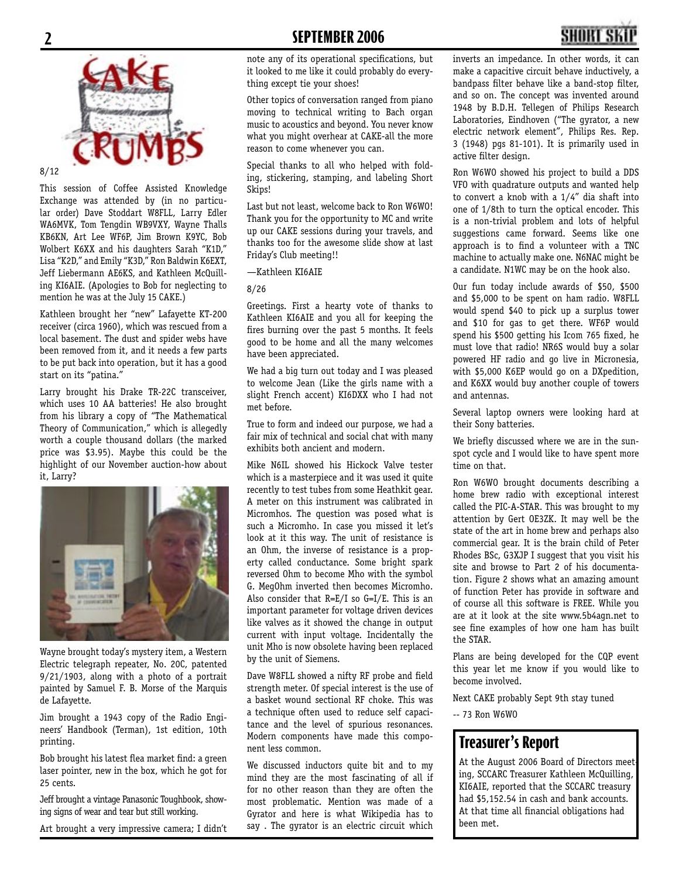

8/12

This session of Coffee Assisted Knowledge Exchange was attended by (in no particular order) Dave Stoddart W8FLL, Larry Edler WA6MVK, Tom Tengdin WB9VXY, Wayne Thalls KB6KN, Art Lee WF6P, Jim Brown K9YC, Bob Wolbert K6XX and his daughters Sarah "K1D," Lisa "K2D," and Emily "K3D," Ron Baldwin K6EXT, Jeff Liebermann AE6KS, and Kathleen McQuilling KI6AIE. (Apologies to Bob for neglecting to mention he was at the July 15 CAKE.)

Kathleen brought her "new" Lafayette KT-200 receiver (circa 1960), which was rescued from a local basement. The dust and spider webs have been removed from it, and it needs a few parts to be put back into operation, but it has a good start on its "patina."

Larry brought his Drake TR-22C transceiver, which uses 10 AA batteries! He also brought from his library a copy of "The Mathematical Theory of Communication," which is allegedly worth a couple thousand dollars (the marked price was \$3.95). Maybe this could be the highlight of our November auction-how about it, Larry?



Wayne brought today's mystery item, a Western Electric telegraph repeater, No. 20C, patented 9/21/1903, along with a photo of a portrait painted by Samuel F. B. Morse of the Marquis de Lafayette.

Jim brought a 1943 copy of the Radio Engineers' Handbook (Terman), 1st edition, 10th printing.

Bob brought his latest flea market find: a green laser pointer, new in the box, which he got for 25 cents.

Jeff brought a vintage Panasonic Toughbook, showing signs of wear and tear but still working.

Art brought a very impressive camera; I didn't

note any of its operational specifications, but it looked to me like it could probably do everything except tie your shoes!

Other topics of conversation ranged from piano moving to technical writing to Bach organ music to acoustics and beyond. You never know what you might overhear at CAKE-all the more reason to come whenever you can.

Special thanks to all who helped with folding, stickering, stamping, and labeling Short Skips!

Last but not least, welcome back to Ron W6WO! Thank you for the opportunity to MC and write up our CAKE sessions during your travels, and thanks too for the awesome slide show at last Friday's Club meeting!!

—Kathleen KI6AIE

8/26

Greetings. First a hearty vote of thanks to Kathleen KI6AIE and you all for keeping the fires burning over the past 5 months. It feels good to be home and all the many welcomes have been appreciated.

We had a big turn out today and I was pleased to welcome Jean (Like the girls name with a slight French accent) KI6DXX who I had not met before.

True to form and indeed our purpose, we had a fair mix of technical and social chat with many exhibits both ancient and modern.

Mike N6IL showed his Hickock Valve tester which is a masterpiece and it was used it quite recently to test tubes from some Heathkit gear. A meter on this instrument was calibrated in Micromhos. The question was posed what is such a Micromho. In case you missed it let's look at it this way. The unit of resistance is an Ohm, the inverse of resistance is a property called conductance. Some bright spark reversed Ohm to become Mho with the symbol G. MegOhm inverted then becomes Micromho. Also consider that  $R=E/I$  so  $G=I/E$ . This is an important parameter for voltage driven devices like valves as it showed the change in output current with input voltage. Incidentally the unit Mho is now obsolete having been replaced by the unit of Siemens.

Dave W8FLL showed a nifty RF probe and field strength meter. Of special interest is the use of a basket wound sectional RF choke. This was a technique often used to reduce self capacitance and the level of spurious resonances. Modern components have made this component less common.

We discussed inductors quite bit and to my mind they are the most fascinating of all if for no other reason than they are often the most problematic. Mention was made of a Gyrator and here is what Wikipedia has to say . The gyrator is an electric circuit which

inverts an impedance. In other words, it can make a capacitive circuit behave inductively, a bandpass filter behave like a band-stop filter, and so on. The concept was invented around 1948 by B.D.H. Tellegen of Philips Research Laboratories, Eindhoven ("The gyrator, a new electric network element", Philips Res. Rep. 3 (1948) pgs 81-101). It is primarily used in active filter design.

Ron W6WO showed his project to build a DDS VFO with quadrature outputs and wanted help to convert a knob with a 1/4" dia shaft into one of 1/8th to turn the optical encoder. This is a non-trivial problem and lots of helpful suggestions came forward. Seems like one approach is to find a volunteer with a TNC machine to actually make one. N6NAC might be a candidate. N1WC may be on the hook also.

Our fun today include awards of \$50, \$500 and \$5,000 to be spent on ham radio. W8FLL would spend \$40 to pick up a surplus tower and \$10 for gas to get there. WF6P would spend his \$500 getting his Icom 765 fixed, he must love that radio! NR6S would buy a solar powered HF radio and go live in Micronesia, with \$5,000 K6EP would go on a DXpedition, and K6XX would buy another couple of towers and antennas.

Several laptop owners were looking hard at their Sony batteries.

We briefly discussed where we are in the sunspot cycle and I would like to have spent more time on that.

Ron W6WO brought documents describing a home brew radio with exceptional interest called the PIC-A-STAR. This was brought to my attention by Gert OE3ZK. It may well be the state of the art in home brew and perhaps also commercial gear. It is the brain child of Peter Rhodes BSc, G3XJP I suggest that you visit his site and browse to Part 2 of his documentation. Figure 2 shows what an amazing amount of function Peter has provide in software and of course all this software is FREE. While you are at it look at the site www.5b4agn.net to see fine examples of how one ham has built the STAR.

Plans are being developed for the CQP event this year let me know if you would like to become involved.

Next CAKE probably Sept 9th stay tuned

-- 73 Ron W6WO

#### **Treasurer's Report**

At the August 2006 Board of Directors meeting, SCCARC Treasurer Kathleen McQuilling, KI6AIE, reported that the SCCARC treasury had \$5,152.54 in cash and bank accounts. At that time all financial obligations had been met.

### **2 SEPTEMBER 2006 SEPTEMBER 2006**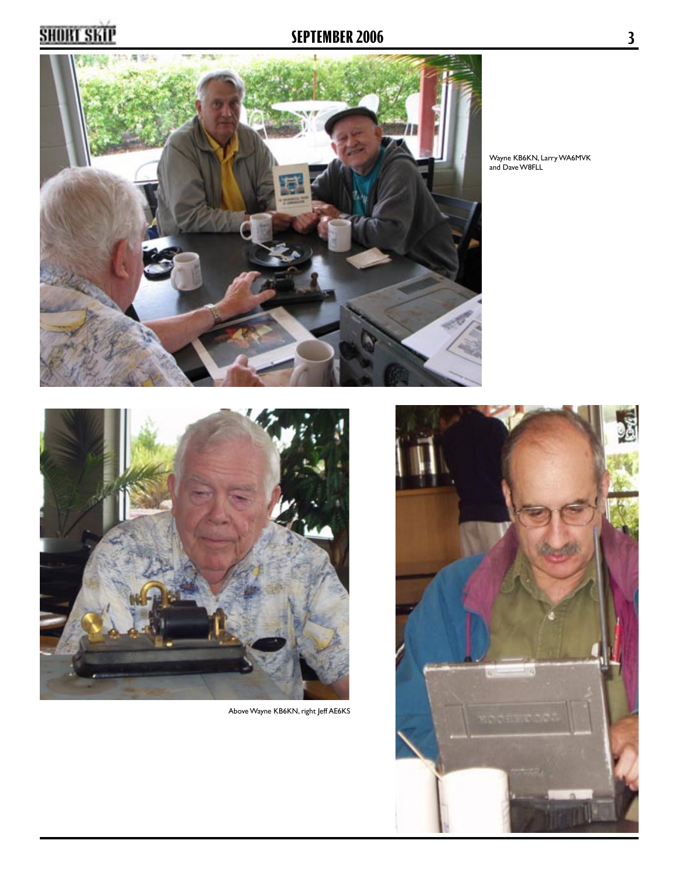#### **<u>2006 <b>2006 2006 2006 2006 2006 2006 2006 2006 2006 2006 2006 2006 2006 2006 2006 2006 2006 2006 2006 2006 2006 2006 2006 2006 2006 2006 2006 2006 2006 2006 2006**</u> **SEPTEMBER 2006**



Wayne KB6KN, Larry WA6MVK and Dave W8FLL



Above Wayne KB6KN, right Jeff AE6KS

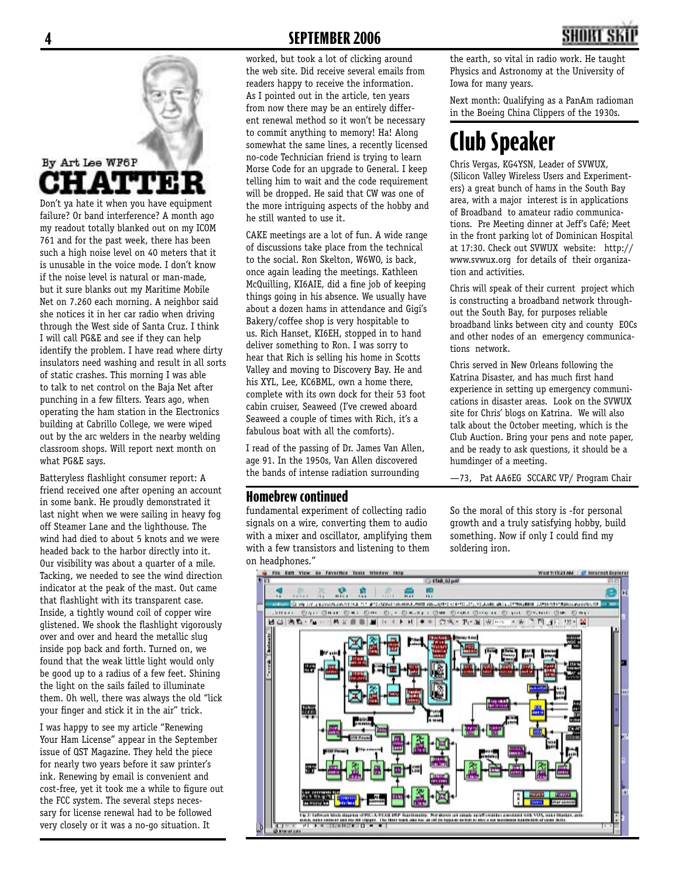

Don't ya hate it when you have equipment failure? Or band interference? A month ago my readout totally blanked out on my ICOM 761 and for the past week, there has been such a high noise level on 40 meters that it is unusable in the voice mode. I don't know if the noise level is natural or man-made, but it sure blanks out my Maritime Mobile Net on 7.260 each morning. A neighbor said she notices it in her car radio when driving through the West side of Santa Cruz. I think I will call PG&E and see if they can help identify the problem. I have read where dirty insulators need washing and result in all sorts of static crashes. This morning I was able to talk to net control on the Baja Net after punching in a few filters. Years ago, when operating the ham station in the Electronics building at Cabrillo College, we were wiped out by the arc welders in the nearby welding classroom shops. Will report next month on what PG&E says.

Batteryless flashlight consumer report: A friend received one after opening an account in some bank. He proudly demonstrated it last night when we were sailing in heavy fog off Steamer Lane and the lighthouse. The wind had died to about 5 knots and we were headed back to the harbor directly into it. Our visibility was about a quarter of a mile. Tacking, we needed to see the wind direction indicator at the peak of the mast. Out came that flashlight with its transparent case. Inside, a tightly wound coil of copper wire glistened. We shook the flashlight vigorously over and over and heard the metallic slug inside pop back and forth. Turned on, we found that the weak little light would only be good up to a radius of a few feet. Shining the light on the sails failed to illuminate them. Oh well, there was always the old "lick your finger and stick it in the air" trick.

I was happy to see my article "Renewing Your Ham License" appear in the September issue of QST Magazine. They held the piece for nearly two years before it saw printer's ink. Renewing by email is convenient and cost-free, yet it took me a while to figure out the FCC system. The several steps necessary for license renewal had to be followed very closely or it was a no-go situation. It

#### **4 SEPTEMBER 2006**

worked, but took a lot of clicking around the web site. Did receive several emails from readers happy to receive the information. As I pointed out in the article, ten years from now there may be an entirely different renewal method so it won't be necessary to commit anything to memory! Ha! Along somewhat the same lines, a recently licensed no-code Technician friend is trying to learn Morse Code for an upgrade to General. I keep telling him to wait and the code requirement will be dropped. He said that CW was one of the more intriguing aspects of the hobby and he still wanted to use it.

CAKE meetings are a lot of fun. A wide range of discussions take place from the technical to the social. Ron Skelton, W6WO, is back, once again leading the meetings. Kathleen McQuilling, KI6AIE, did a fine job of keeping things going in his absence. We usually have about a dozen hams in attendance and Gigi's Bakery/coffee shop is very hospitable to us. Rich Hanset, KI6EH, stopped in to hand deliver something to Ron. I was sorry to hear that Rich is selling his home in Scotts Valley and moving to Discovery Bay. He and his XYL, Lee, KC6BML, own a home there, complete with its own dock for their 53 foot cabin cruiser, Seaweed (I've crewed aboard Seaweed a couple of times with Rich, it's a fabulous boat with all the comforts).

I read of the passing of Dr. James Van Allen, age 91. In the 1950s, Van Allen discovered the bands of intense radiation surrounding

#### **Homebrew continued**

fundamental experiment of collecting radio signals on a wire, converting them to audio with a mixer and oscillator, amplifying them with a few transistors and listening to them on headphones."

the earth, so vital in radio work. He taught Physics and Astronomy at the University of Iowa for many years.

Next month: Qualifying as a PanAm radioman in the Boeing China Clippers of the 1930s.

### **Club Speaker**

Chris Vergas, KG4YSN, Leader of SVWUX, (Silicon Valley Wireless Users and Experimenters) a great bunch of hams in the South Bay area, with a major interest is in applications of Broadband to amateur radio communications. Pre Meeting dinner at Jeff's Café; Meet in the front parking lot of Dominican Hospital at 17:30. Check out SVWUX website: http:// www.svwux.org for details of their organization and activities.

Chris will speak of their current project which is constructing a broadband network throughout the South Bay, for purposes reliable broadband links between city and county EOCs and other nodes of an emergency communications network.

Chris served in New Orleans following the Katrina Disaster, and has much first hand experience in setting up emergency communications in disaster areas. Look on the SVWUX site for Chris' blogs on Katrina. We will also talk about the October meeting, which is the Club Auction. Bring your pens and note paper, and be ready to ask questions, it should be a humdinger of a meeting.

—73, Pat AA6EG SCCARC VP/ Program Chair

So the moral of this story is -for personal growth and a truly satisfying hobby, build something. Now if only I could find my soldering iron.